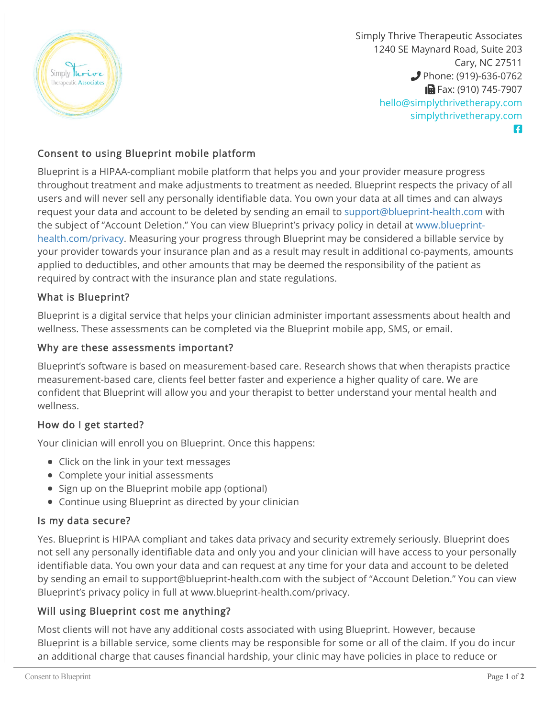

Simply Thrive Therapeutic Associates 1240 SE Maynard Road, Suite 203 Cary, NC 27511 **Phone: (919)-636-0762 B** Fax: (910) 745-7907 [hello@simplythrivetherapy.com](mailto:hello@simplythrivetherapy.com) [simplythrivetherapy.com](http://simplythrivetherapy.com) Ŧ

# Consent to using Blueprint mobile platform

Blueprint is a HIPAA-compliant mobile platform that helps you and your provider measure progress throughout treatment and make adjustments to treatment as needed. Blueprint respects the privacy of all users and will never sell any personally identifiable data. You own your data at all times and can always request your data and account to be deleted by sending an email to [support@blueprint-health.com](mailto:support@blueprint-health.com) with [the subject of "Account Deletion." You can view Blueprint's privacy policy in detail at www.blueprint](http://www.blueprint-health.com/privacy)health.com/privacy. Measuring your progress through Blueprint may be considered a billable service by your provider towards your insurance plan and as a result may result in additional co-payments, amounts applied to deductibles, and other amounts that may be deemed the responsibility of the patient as required by contract with the insurance plan and state regulations.

## What is Blueprint?

Blueprint is a digital service that helps your clinician administer important assessments about health and wellness. These assessments can be completed via the Blueprint mobile app, SMS, or email.

#### Why are these assessments important?

Blueprint's software is based on measurement-based care. Research shows that when therapists practice measurement-based care, clients feel better faster and experience a higher quality of care. We are confident that Blueprint will allow you and your therapist to better understand your mental health and wellness.

## How do I get started?

Your clinician will enroll you on Blueprint. Once this happens:

- Click on the link in your text messages
- Complete your initial assessments
- Sign up on the Blueprint mobile app (optional)
- Continue using Blueprint as directed by your clinician

#### Is my data secure?

Yes. Blueprint is HIPAA compliant and takes data privacy and security extremely seriously. Blueprint does not sell any personally identifiable data and only you and your clinician will have access to your personally identifiable data. You own your data and can request at any time for your data and account to be deleted by sending an email to support@blueprint-health.com with the subject of "Account Deletion." You can view Blueprint's privacy policy in full at www.blueprint-health.com/privacy.

## Will using Blueprint cost me anything?

Most clients will not have any additional costs associated with using Blueprint. However, because Blueprint is a billable service, some clients may be responsible for some or all of the claim. If you do incur an additional charge that causes financial hardship, your clinic may have policies in place to reduce or